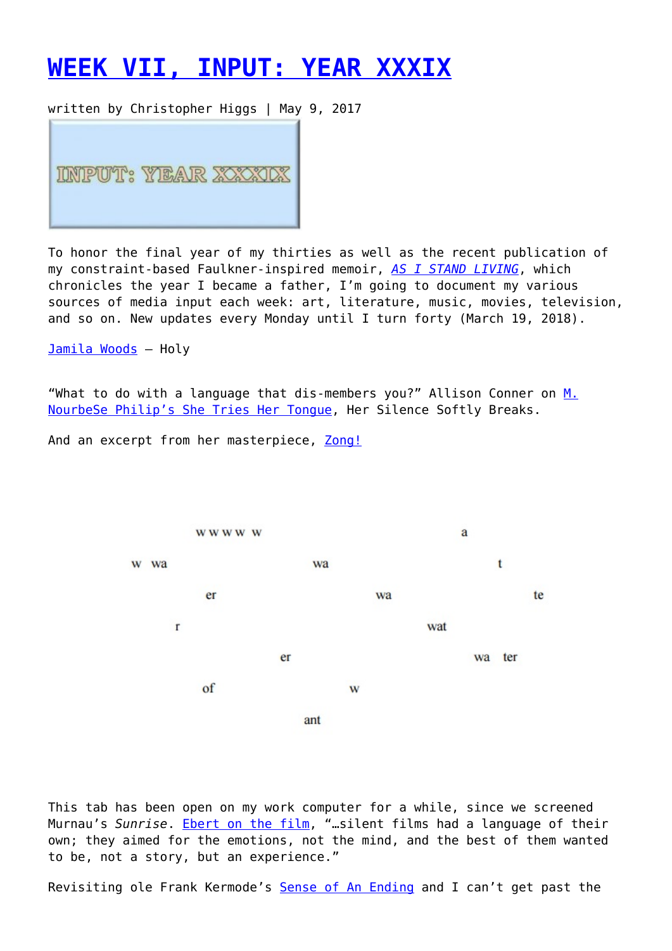## **[WEEK VII, INPUT: YEAR XXXIX](https://entropymag.org/week-vii-input-year-xxxix/)**

written by Christopher Higgs | May 9, 2017



To honor the final year of my thirties as well as the recent publication of my constraint-based Faulkner-inspired memoir, *[AS I STAND LIVING](http://copingmechanisms.net/portfolio/as-i-stand-living-by-christopher-higgs/)*, which chronicles the year I became a father, I'm going to document my various sources of media input each week: art, literature, music, movies, television, and so on. New updates every Monday until I turn forty (March 19, 2018).

[Jamila Woods](https://jamilawoods.lnk.to/holy) – Holy

"What to do with a language that dis-members you?" Allison Conner on [M.](https://jacket2.org/reviews/unraveling-tongues) [NourbeSe Philip's She Tries Her Tongue](https://jacket2.org/reviews/unraveling-tongues), Her Silence Softly Breaks.

And an excerpt from her masterpiece, [Zong!](http://soundobject.net/wp-content/uploads/2016/12/Zong-text-excerpts-for-SummerWorks.pdf)



This tab has been open on my work computer for a while, since we screened Murnau's *Sunrise*. [Ebert on the film](http://www.rogerebert.com/reviews/great-movie-sunrise-1928), "…silent films had a language of their own; they aimed for the emotions, not the mind, and the best of them wanted to be, not a story, but an experience."

Revisiting ole Frank Kermode's [Sense of An Ending](http://www.davidlavery.net/Courses/Narratology/Kermode_Frank_The_Sense_of_an_Ending_2000.pdf) and I can't get past the